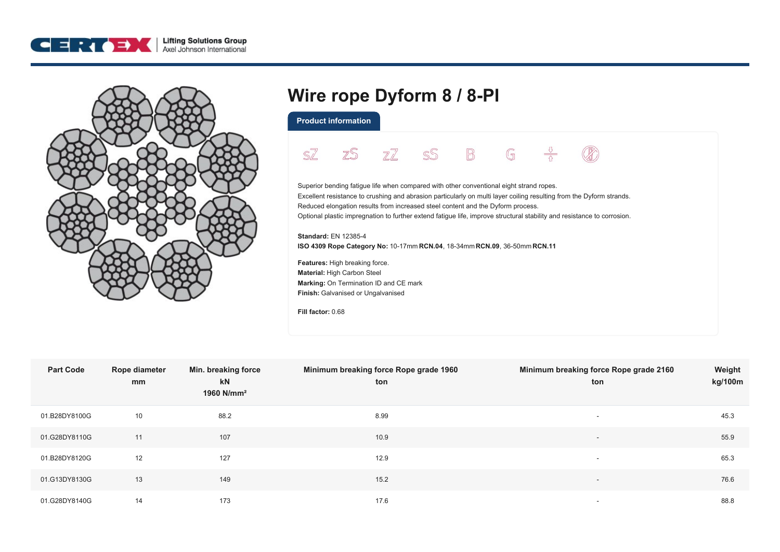



## **Wire rope Dyform 8 / 8-PI**

**Product information**

 $\frac{v}{\Omega}$ SZ  $Z\overline{Z}$ SS  $\mathbb{B}$  $\mathbb{G}$ zS Superior bending fatigue life when compared with other conventional eight strand ropes. Excellent resistance to crushing and abrasion particularly on multi layer coiling resulting from the Dyform strands. Reduced elongation results from increased steel content and the Dyform process. Optional plastic impregnation to further extend fatigue life, improve structural stability and resistance to corrosion. **Standard:** EN 12385-4 **ISO 4309 Rope Category No:** 10-17mm **RCN.04**, 18-34mm **RCN.09**, 36-50mm **RCN.11 Features:** High breaking force. **Material:** High Carbon Steel **Marking:** On Termination ID and CE mark **Finish:** Galvanised or Ungalvanised **Fill factor:** 0.68

| <b>Part Code</b> | Rope diameter<br>mm | Min. breaking force<br>kN<br>1960 N/mm <sup>2</sup> | Minimum breaking force Rope grade 1960<br>ton | Minimum breaking force Rope grade 2160<br>ton | Weight<br>kg/100m |
|------------------|---------------------|-----------------------------------------------------|-----------------------------------------------|-----------------------------------------------|-------------------|
| 01.B28DY8100G    | 10                  | 88.2                                                | 8.99                                          | $\overline{\phantom{a}}$                      | 45.3              |
| 01.G28DY8110G    | 11                  | 107                                                 | 10.9                                          | $\overline{\phantom{a}}$                      | 55.9              |
| 01.B28DY8120G    | 12                  | 127                                                 | 12.9                                          | $\overline{\phantom{a}}$                      | 65.3              |
| 01.G13DY8130G    | 13                  | 149                                                 | 15.2                                          | $\overline{\phantom{a}}$                      | 76.6              |
| 01.G28DY8140G    | 14                  | 173                                                 | 17.6                                          | $\overline{\phantom{a}}$                      | 88.8              |